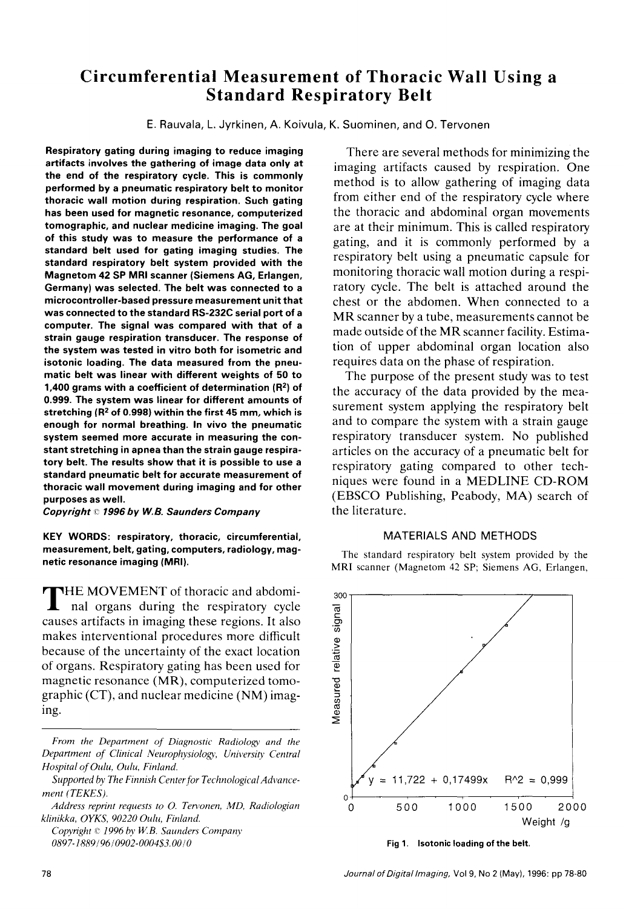## **Circumferentiai Measurement of Thoracic Wall Using a Standard Respiratory Belt**

E. Rauvala, L. Jyrkinen, A. Koivula, K. Suominen, and O. Tervonen

**Respiratory gating during imaging to reduce imaging artifacts involves the gathering of image data only at the end of the respiratory cycle. This is commonly performed by a pneumatic respiratory belt to monitor thoracic wall motion during respiration. Such gating has been used for magnetic resonance, computerized tomographic, and nuclear medicine imaging. The goal of this study was to measure the performance of a standard belt used for gating imaging studies. The standard respiratory belt system provided with the Magnetom 42 SP MRI scanner (Siemens AG, Erlangen, Germany) was selected. The belt was connected to a microcontroller-based pressure measurement unit that was connected to the standard RS-232C serial port of a computer. The signal was compared with that of a strain gauge respiration transducer. The response of the system was tested in vitro both for isometric and isotonic Ioading. The data measured from the pneumatic belt was linear with different weights of 50 to 1,400 grams with a coefficient of determination (R<sup>2</sup>) of 0.999. The system was linear for different amounts of**  stretching (R<sup>2</sup> of 0.998) within the first 45 mm, which is **enough for normal breathing. In vivo the pneumatic system seemed more accurate in measuring the constant stretching in apnea than the strain gauge respiratory belt. The results show that it is possible to use a standard pneumatic belt for accurate measurement of thoracic wall movement during imaging and for other purposes as well.** 

*Copyright ~~ 1996 by W.B. Saunders Company* 

**KEY WORDS: respiratory, thoracic, circumferential, measurement, belt, gating, computers, radiology, magnetic resonance imaging (MRI).** 

**THE MOVEMENT** of thoracic and abdominal organs during the respiratory cycle causes artifacts in imaging these regions. It also makes interventional procedures more difficult because of the uncertainty of the exact location of organs. Respiratory gating has been used for magnetic resonance (MR), computerized tomographic (CT), and nuclear medicine (NM) imaging.

*Frorn the Departrnent of Diagnostic Radiology and the Department of Clinical Neurophysiology, University Central Hospital of Oulu, Oulu, Finland.* 

*Supported by The Finnish Centerfor Technological Advancement (TEKES).* 

*Address reprint requests to O. Tervonen, MD, Radiologian*  $k$ linikka, OYKS, 90220 Oulu, Finland.

*Copyright*  $\mathbb{C}$  *1996 by W.B. Saunders Company 0897-1889 / 96 / 0902- 000453. O0 / 0* 

There are several methods for minimizing the imaging artifacts caused by respiration. One method is to aIlow gathering of imaging data from either end of the respiratory cycle where the thoracic and abdominal organ movements are at their minimum. This is called respiratory gating, and it is commonly performed by a respiratory belt using a pneumatic capsule for monitoring thoracic wall motion during a respiratory cycle. The belt is attached around the chest or the abdomen. When connected to a MR scanner by a tube, measurements cannot be made outside of the MR scanner facility. Estimation of upper abdominal organ location also requires data on the phase of respiration.

The purpose of the present study was to test the accuracy of the data provided by the measurement system applying the respiratory belt and to compare the system with a strain gauge respiratory transducer system. No published articles on the accuracy of a pneumatic belt for respiratory gating compared to other techniques were found in a MEDLINE CD-ROM (EBSCO Publishing, Peabody, MA) search of the literature.

## MATERIALS AND METHODS

The standard respiratory belt system provided by the MRI scanner (Magnetom 42 SP; Siemens AG, Erlangen,



**Fig 1. Isotonic Ioading of the belt.** 

78 *JournalofDigitallmaging,* Vol 9, No 2 (May), 1996: pp 78-80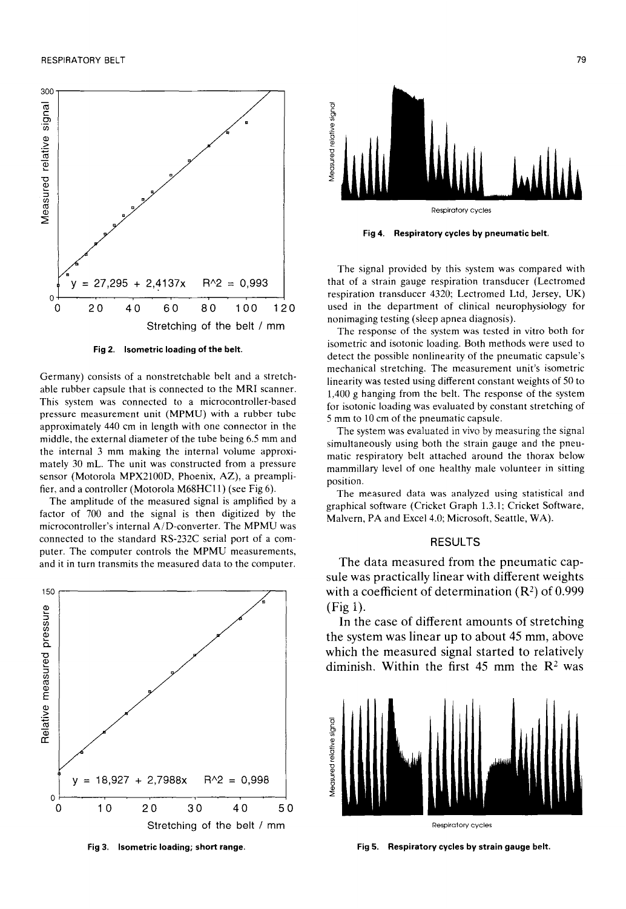

**Fig 2. Isometric Ioading of the** belt.

Germany) consists of a nonstretchable belt and a stretchable rubber capsule that is connected to the MRI scanner. This system was connected to a microcontroller-based pressure measurement unit (MPMU) with a rubber tube approximately 440 cm in length with one connector in the middle, the external diameter of the tube being 6.5 mm and the internal 3 mm making the internal volume approximately 30 mL. The unit was constructed from a pressure sensor (Motorola MPX2100D, Phoenix, AZ), a preamplifier, and a controller (Motorola M68HC11) (see Fig 6).

The amplitude of the measured signal is amplified by a factor of 700 and the signal is then digitized by the microcontroller's internal A/D-converter. The MPMU was connected to the standard RS-232C serial port of a computer. The computer controls the MPMU measurements, and it in turn transmits the measured data to the computer.



**Isometric Ioading; short range.** 



**Fig 4. Respitatory cycles by pneumatic** belt.

The signal provided by this system was compared with that of a strain gauge respiration transducer (Lectromed respiration transducer 4320; Lectromed Ltd, Jersey, UK) used in the department of clinical neurophysiology for nonimaging testing (sleep apnea diagnosis).

The response of the system was tested in vitro both for isometric and isotonic loading. Both methods were used to detect the possible nonlinearity of the pneumatic capsule's mechanical stretching, The measurement unit's isometric linearity was tested using different constant weights of 50 to 1,400 g hanging from the belt. The response of the system for isotonic Ioading was evaluated by constant stretching of 5 mm to 10 cm of the pneumatic capsule.

The system was evaluated in vivo by measuring the signal simultaneously using both the strain gauge and the pneumatic respiratory belt attached around the thorax below mammillary level of one healthy male volunteer in sitting position.

The measured data was analyzed using statistical and graphical software (Cricket Graph 1.3.1; Cricket Software, Malvern, PA and Excel 4.0; Microsoft, Seattle, WA).

## RESULTS

The data measured from the pneumatic capsule was practically linear with different weights with a coefficient of determination  $(R^2)$  of 0.999 (Fig 1).

**In** the case of different amounts of stretching **the system was linear up to about 45 mm, above which the measured signal started to relatively**  diminish. Within the first 45 mm the R<sup>2</sup> was



Respiratory cycles